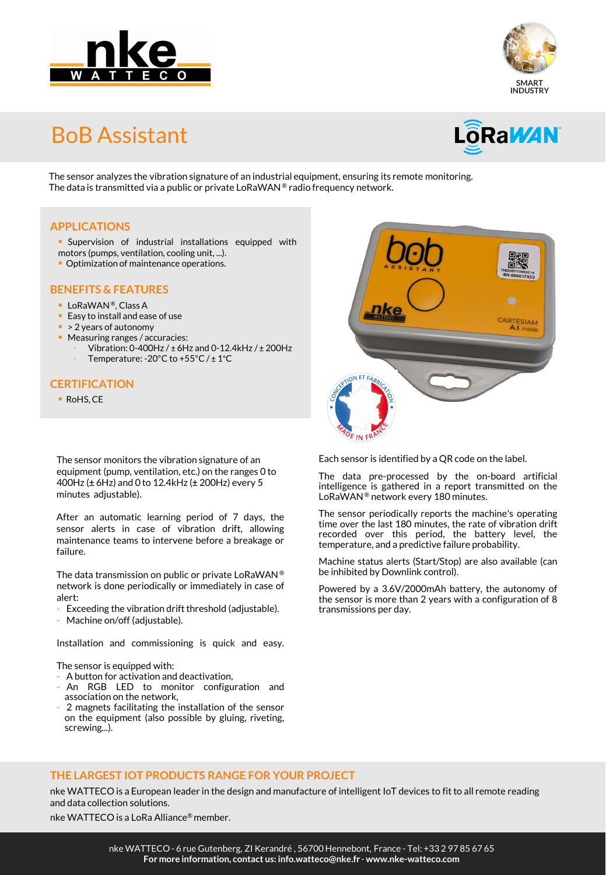



## BoB Assistant



The sensor analyzes the vibration signature of an industrial equipment, ensuring its remote monitoring. The data is transmitted via a public or private LoRaWAN® radio frequency network.

#### **APPLICATIONS**

- **Supervision of industrial installations equipped with**
- motors (pumps, ventilation, cooling unit, ...).
- **Optimization of maintenance operations.**

#### **BENEFITS & FEATURES**

- **LoRaWAN®**, Class A
- **Easy to install and ease of use**
- > 2 years of autonomy
- **Measuring ranges / accuracies:** 
	- Vibration: 0-400Hz / ± 6Hz and 0-12.4kHz / ± 200Hz
	- Temperature: -20 $^{\circ}$ C to +55 $^{\circ}$ C / ± 1 $^{\circ}$ C

#### **CERTIFICATION**

RoHS, CE

The sensor monitors the vibration signature of an equipment (pump, ventilation, etc.) on the ranges 0 to 400Hz (± 6Hz) and 0 to 12.4kHz (± 200Hz) every 5 minutes adjustable).

After an automatic learning period of 7 days, the sensor alerts in case of vibration drift, allowing maintenance teams to intervene before a breakage or failure.

The data transmission on public or private LoRaWAN ® network is done periodically or immediately in case of alert:

- Exceeding the vibration drift threshold (adjustable).
- Machine on/off (adjustable).

Installation and commissioning is quick and easy.

The sensor is equipped with:

- A button for activation and deactivation,
- An RGB LED to monitor configuration and association on the network,
- 2 magnets facilitating the installation of the sensor on the equipment (also possible by gluing, riveting, screwing...).



Each sensor is identified by a QR code on the label.

The data pre-processed by the on-board artificial intelligence is gathered in a report transmitted on the LoRaWAN® network every 180 minutes.

The sensor periodically reports the machine's operating time over the last 180 minutes, the rate of vibration drift recorded over this period, the battery level, the temperature, and a predictive failure probability.

Machine status alerts (Start/Stop) are also available (can be inhibited by Downlink control).

Powered by a 3.6V/2000mAh battery, the autonomy of the sensor is more than 2 years with a configuration of 8 transmissions per day.

#### **THE LARGEST IOT PRODUCTS RANGE FOR YOUR PROJECT**

nke WATTECO is a European leader in the design and manufacture of intelligent IoT devices to fit to all remote reading and data collection solutions.

nke WATTECO is a LoRa Alliance® member.